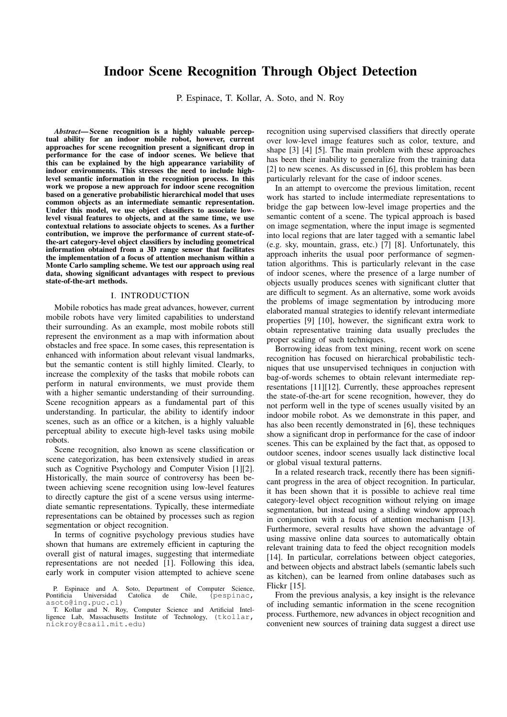# Indoor Scene Recognition Through Object Detection

P. Espinace, T. Kollar, A. Soto, and N. Roy

*Abstract*— Scene recognition is a highly valuable perceptual ability for an indoor mobile robot, however, current approaches for scene recognition present a significant drop in performance for the case of indoor scenes. We believe that this can be explained by the high appearance variability of indoor environments. This stresses the need to include highlevel semantic information in the recognition process. In this work we propose a new approach for indoor scene recognition based on a generative probabilistic hierarchical model that uses common objects as an intermediate semantic representation. Under this model, we use object classifiers to associate lowlevel visual features to objects, and at the same time, we use contextual relations to associate objects to scenes. As a further contribution, we improve the performance of current state-ofthe-art category-level object classifiers by including geometrical information obtained from a 3D range sensor that facilitates the implementation of a focus of attention mechanism within a Monte Carlo sampling scheme. We test our approach using real data, showing significant advantages with respect to previous state-of-the-art methods.

#### I. INTRODUCTION

Mobile robotics has made great advances, however, current mobile robots have very limited capabilities to understand their surrounding. As an example, most mobile robots still represent the environment as a map with information about obstacles and free space. In some cases, this representation is enhanced with information about relevant visual landmarks, but the semantic content is still highly limited. Clearly, to increase the complexity of the tasks that mobile robots can perform in natural environments, we must provide them with a higher semantic understanding of their surrounding. Scene recognition appears as a fundamental part of this understanding. In particular, the ability to identify indoor scenes, such as an office or a kitchen, is a highly valuable perceptual ability to execute high-level tasks using mobile robots.

Scene recognition, also known as scene classification or scene categorization, has been extensively studied in areas such as Cognitive Psychology and Computer Vision [1][2]. Historically, the main source of controversy has been between achieving scene recognition using low-level features to directly capture the gist of a scene versus using intermediate semantic representations. Typically, these intermediate representations can be obtained by processes such as region segmentation or object recognition.

In terms of cognitive psychology previous studies have shown that humans are extremely efficient in capturing the overall gist of natural images, suggesting that intermediate representations are not needed [1]. Following this idea, early work in computer vision attempted to achieve scene recognition using supervised classifiers that directly operate over low-level image features such as color, texture, and shape [3] [4] [5]. The main problem with these approaches has been their inability to generalize from the training data [2] to new scenes. As discussed in [6], this problem has been particularly relevant for the case of indoor scenes.

In an attempt to overcome the previous limitation, recent work has started to include intermediate representations to bridge the gap between low-level image properties and the semantic content of a scene. The typical approach is based on image segmentation, where the input image is segmented into local regions that are later tagged with a semantic label (e.g. sky, mountain, grass, etc.) [7] [8]. Unfortunately, this approach inherits the usual poor performance of segmentation algorithms. This is particularly relevant in the case of indoor scenes, where the presence of a large number of objects usually produces scenes with significant clutter that are difficult to segment. As an alternative, some work avoids the problems of image segmentation by introducing more elaborated manual strategies to identify relevant intermediate properties [9] [10], however, the significant extra work to obtain representative training data usually precludes the proper scaling of such techniques.

Borrowing ideas from text mining, recent work on scene recognition has focused on hierarchical probabilistic techniques that use unsupervised techniques in conjuction with bag-of-words schemes to obtain relevant intermediate representations [11][12]. Currently, these approaches represent the state-of-the-art for scene recognition, however, they do not perform well in the type of scenes usually visited by an indoor mobile robot. As we demonstrate in this paper, and has also been recently demonstrated in [6], these techniques show a significant drop in performance for the case of indoor scenes. This can be explained by the fact that, as opposed to outdoor scenes, indoor scenes usually lack distinctive local or global visual textural patterns.

In a related research track, recently there has been significant progress in the area of object recognition. In particular, it has been shown that it is possible to achieve real time category-level object recognition without relying on image segmentation, but instead using a sliding window approach in conjunction with a focus of attention mechanism [13]. Furthermore, several results have shown the advantage of using massive online data sources to automatically obtain relevant training data to feed the object recognition models [14]. In particular, correlations between object categories, and between objects and abstract labels (semantic labels such as kitchen), can be learned from online databases such as Flickr [15].

From the previous analysis, a key insight is the relevance of including semantic information in the scene recognition process. Furthemore, new advances in object recognition and convenient new sources of training data suggest a direct use

P. Espinace and A. Soto, Department of Computer Science, Pontificia Universidad Catolica de Chile, (pespinac, asoto@ing.puc.cl)

T. Kollar and N. Roy, Computer Science and Artificial Intelligence Lab, Massachusetts Institute of Technology, (tkollar, nickroy@csail.mit.edu)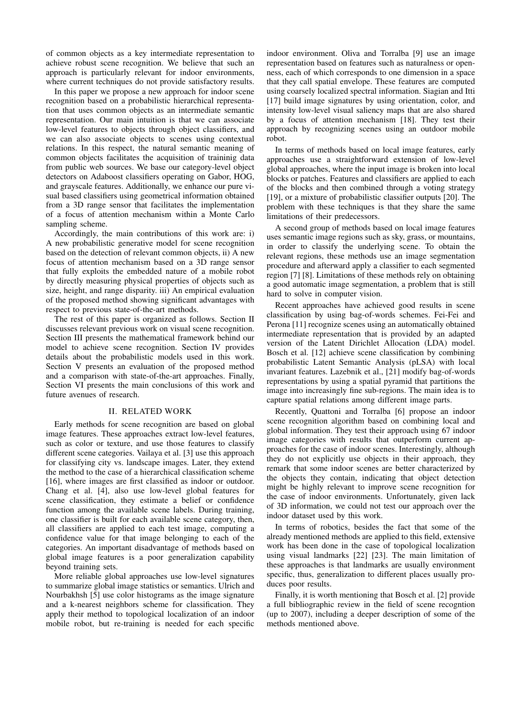of common objects as a key intermediate representation to achieve robust scene recognition. We believe that such an approach is particularly relevant for indoor environments, where current techniques do not provide satisfactory results.

In this paper we propose a new approach for indoor scene recognition based on a probabilistic hierarchical representation that uses common objects as an intermediate semantic representation. Our main intuition is that we can associate low-level features to objects through object classifiers, and we can also associate objects to scenes using contextual relations. In this respect, the natural semantic meaning of common objects facilitates the acquisition of traininig data from public web sources. We base our category-level object detectors on Adaboost classifiers operating on Gabor, HOG, and grayscale features. Additionally, we enhance our pure visual based classifiers using geometrical information obtained from a 3D range sensor that facilitates the implementation of a focus of attention mechanism within a Monte Carlo sampling scheme.

Accordingly, the main contributions of this work are: i) A new probabilistic generative model for scene recognition based on the detection of relevant common objects, ii) A new focus of attention mechanism based on a 3D range sensor that fully exploits the embedded nature of a mobile robot by directly measuring physical properties of objects such as size, height, and range disparity. iii) An empirical evaluation of the proposed method showing significant advantages with respect to previous state-of-the-art methods.

The rest of this paper is organized as follows. Section II discusses relevant previous work on visual scene recognition. Section III presents the mathematical framework behind our model to achieve scene recognition. Section IV provides details about the probabilistic models used in this work. Section V presents an evaluation of the proposed method and a comparison with state-of-the-art approaches. Finally, Section VI presents the main conclusions of this work and future avenues of research.

## II. RELATED WORK

Early methods for scene recognition are based on global image features. These approaches extract low-level features, such as color or texture, and use those features to classify different scene categories. Vailaya et al. [3] use this approach for classifying city vs. landscape images. Later, they extend the method to the case of a hierarchical classification scheme [16], where images are first classified as indoor or outdoor. Chang et al. [4], also use low-level global features for scene classification, they estimate a belief or confidence function among the available scene labels. During training, one classifier is built for each available scene category, then, all classifiers are applied to each test image, computing a confidence value for that image belonging to each of the categories. An important disadvantage of methods based on global image features is a poor generalization capability beyond training sets.

More reliable global approaches use low-level signatures to summarize global image statistics or semantics. Ulrich and Nourbakhsh [5] use color histograms as the image signature and a k-nearest neighbors scheme for classification. They apply their method to topological localization of an indoor mobile robot, but re-training is needed for each specific indoor environment. Oliva and Torralba [9] use an image representation based on features such as naturalness or openness, each of which corresponds to one dimension in a space that they call spatial envelope. These features are computed using coarsely localized spectral information. Siagian and Itti [17] build image signatures by using orientation, color, and intensity low-level visual saliency maps that are also shared by a focus of attention mechanism [18]. They test their approach by recognizing scenes using an outdoor mobile robot.

In terms of methods based on local image features, early approaches use a straightforward extension of low-level global approaches, where the input image is broken into local blocks or patches. Features and classifiers are applied to each of the blocks and then combined through a voting strategy [19], or a mixture of probabilistic classifier outputs [20]. The problem with these techniques is that they share the same limitations of their predecessors.

A second group of methods based on local image features uses semantic image regions such as sky, grass, or mountains, in order to classify the underlying scene. To obtain the relevant regions, these methods use an image segmentation procedure and afterward apply a classifier to each segmented region [7] [8]. Limitations of these methods rely on obtaining a good automatic image segmentation, a problem that is still hard to solve in computer vision.

Recent approaches have achieved good results in scene classification by using bag-of-words schemes. Fei-Fei and Perona [11] recognize scenes using an automatically obtained intermediate representation that is provided by an adapted version of the Latent Dirichlet Allocation (LDA) model. Bosch et al. [12] achieve scene classification by combining probabilistic Latent Semantic Analysis (pLSA) with local invariant features. Lazebnik et al., [21] modify bag-of-words representations by using a spatial pyramid that partitions the image into increasingly fine sub-regions. The main idea is to capture spatial relations among different image parts.

Recently, Quattoni and Torralba [6] propose an indoor scene recognition algorithm based on combining local and global information. They test their approach using 67 indoor image categories with results that outperform current approaches for the case of indoor scenes. Interestingly, although they do not explicitly use objects in their approach, they remark that some indoor scenes are better characterized by the objects they contain, indicating that object detection might be highly relevant to improve scene recognition for the case of indoor environments. Unfortunately, given lack of 3D information, we could not test our approach over the indoor dataset used by this work.

In terms of robotics, besides the fact that some of the already mentioned methods are applied to this field, extensive work has been done in the case of topological localization using visual landmarks [22] [23]. The main limitation of these approaches is that landmarks are usually environment specific, thus, generalization to different places usually produces poor results.

Finally, it is worth mentioning that Bosch et al. [2] provide a full bibliographic review in the field of scene recogntion (up to 2007), including a deeper description of some of the methods mentioned above.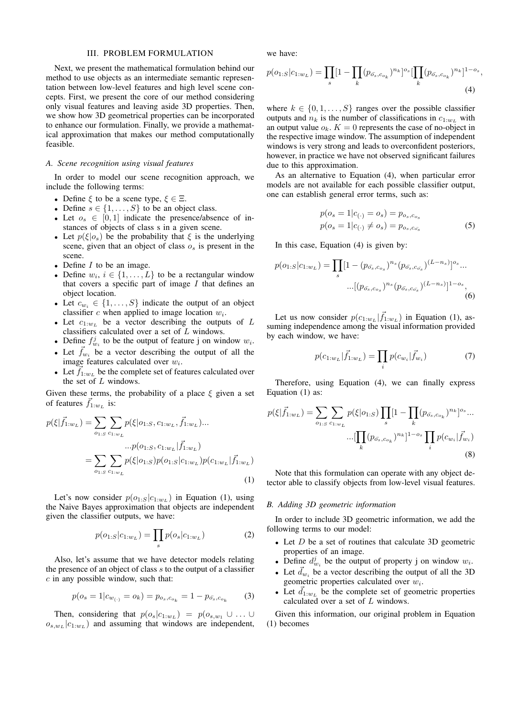### III. PROBLEM FORMULATION

Next, we present the mathematical formulation behind our method to use objects as an intermediate semantic representation between low-level features and high level scene concepts. First, we present the core of our method considering only visual features and leaving aside 3D properties. Then, we show how 3D geometrical properties can be incorporated to enhance our formulation. Finally, we provide a mathematical approximation that makes our method computationally feasible.

## *A. Scene recognition using visual features*

In order to model our scene recognition approach, we include the following terms:

- Define  $\xi$  to be a scene type,  $\xi \in \Xi$ .
- Define  $s \in \{1, \ldots, S\}$  to be an object class.
- Let  $o_s \in [0,1]$  indicate the presence/absence of instances of objects of class s in a given scene.
- Let  $p(\xi|o_s)$  be the probability that  $\xi$  is the underlying scene, given that an object of class  $o_s$  is present in the scene.
- Define  $I$  to be an image.
- Define  $w_i$ ,  $i \in \{1, \ldots, L\}$  to be a rectangular window that covers a specific part of image  $I$  that defines an object location.
- Let  $c_{w_i} \in \{1, \ldots, S\}$  indicate the output of an object classifier  $c$  when applied to image location  $w_i$ .
- Let  $c_{1:w_L}$  be a vector describing the outputs of L classifiers calculated over a set of L windows.
- Define  $f_{w_i}^j$  to be the output of feature j on window  $w_i$ .
- Let  $\vec{f}_{w_i}$  be a vector describing the output of all the image features calculated over  $w_i$ .
- Let  $\vec{f}_{1:w_L}$  be the complete set of features calculated over the set of  $L$  windows.

Given these terms, the probability of a place  $\xi$  given a set of features  $\vec{f}_{1:w_L}$  is:

$$
p(\xi|\vec{f}_{1:w_L}) = \sum_{o_{1:S}} \sum_{c_{1:w_L}} p(\xi|o_{1:S}, c_{1:w_L}, \vec{f}_{1:w_L}) ... \cdots p(o_{1:S}, c_{1:w_L}|\vec{f}_{1:w_L}) = \sum_{o_{1:S}} \sum_{c_{1:w_L}} p(\xi|o_{1:S}) p(o_{1:S}|c_{1:w_L}) p(c_{1:w_L}|\vec{f}_{1:w_L})
$$
\n(1)

Let's now consider  $p(o_{1:S}|c_{1:w_L})$  in Equation (1), using the Naive Bayes approximation that objects are independent given the classifier outputs, we have:

$$
p(o_{1:S}|c_{1:w_L}) = \prod_s p(o_s|c_{1:w_L})
$$
 (2)

Also, let's assume that we have detector models relating the presence of an object of class s to the output of a classifier  $c$  in any possible window, such that:

$$
p(o_s = 1|c_{w_{(\cdot)}} = o_k) = p_{o_s, c_{o_k}} = 1 - p_{\bar{o_s}, c_{o_k}} \tag{3}
$$

Then, considering that  $p(o_s|c_{1:w_L}) = p(o_{s,w_1} \cup ... \cup$  $o_{s,w_L}|c_{1:w_L}$ ) and assuming that windows are independent, we have:

$$
p(o_{1:S}|c_{1:w_L}) = \prod_s [1 - \prod_k (p_{\bar{o_s},c_{o_k}})^{n_k}]^{o_s} [\prod_k (p_{\bar{o_s},c_{o_k}})^{n_k}]^{1 - o_s},
$$
\n(4)

where  $k \in \{0, 1, \ldots, S\}$  ranges over the possible classifier outputs and  $n_k$  is the number of classifications in  $c_{1:w}$ , with an output value  $o_k$ .  $K = 0$  represents the case of no-object in the respective image window. The assumption of independent windows is very strong and leads to overconfident posteriors, however, in practice we have not observed significant failures due to this approximation.

As an alternative to Equation (4), when particular error models are not available for each possible classifier output, one can establish general error terms, such as:

$$
p(o_s = 1|c_{(\cdot)} = o_s) = p_{o_s, c_{o_s}}
$$
  
\n
$$
p(o_s = 1|c_{(\cdot)} \neq o_s) = p_{o_s, c_{o_s}}
$$
\n(5)

In this case, Equation (4) is given by:

$$
p(o_{1:S}|c_{1:w_L}) = \prod_{s} [1 - (p_{\bar{o_s}, c_{o_s}})^{n_s} (p_{\bar{o_s}, c_{\bar{o_s}}})^{(L-n_s)}]^{o_s} \cdots
$$

$$
\cdots [(p_{\bar{o_s}, c_{o_s}})^{n_s} (p_{\bar{o_s}, c_{\bar{o_s}}})^{(L-n_s)}]^{1-o_s},
$$
(6)

Let us now consider  $p(c_{1:w_L}|\vec{f}_{1:w_L})$  in Equation (1), assuming independence among the visual information provided by each window, we have:

$$
p(c_{1:w_L}|\vec{f}_{1:w_L}) = \prod_i p(c_{w_i}|\vec{f}_{w_i})
$$
\n(7)

Therefore, using Equation (4), we can finally express Equation (1) as:

p(ξ| ~f1:w<sup>L</sup> ) = X o1:<sup>S</sup> X c1:wL p(ξ|o1:S) Y s [1 − Y k (po¯s,cok ) n<sup>k</sup> ] os ... ...[ Y k (po¯s,cok ) n<sup>k</sup> ] 1−o<sup>s</sup> Y i p(cw<sup>i</sup> | ~fwi ) (8)

Note that this formulation can operate with any object detector able to classify objects from low-level visual features.

#### *B. Adding 3D geometric information*

In order to include 3D geometric information, we add the following terms to our model:

- Let  $D$  be a set of routines that calculate 3D geometric properties of an image.
- Define  $d_{w_i}^j$  be the output of property j on window  $w_i$ .
- Let  $\vec{d}_{w_i}$  be a vector describing the output of all the 3D geometric properties calculated over  $w_i$ .
- Let  $\vec{d}_{1:w_L}$  be the complete set of geometric properties calculated over a set of L windows.

Given this information, our original problem in Equation (1) becomes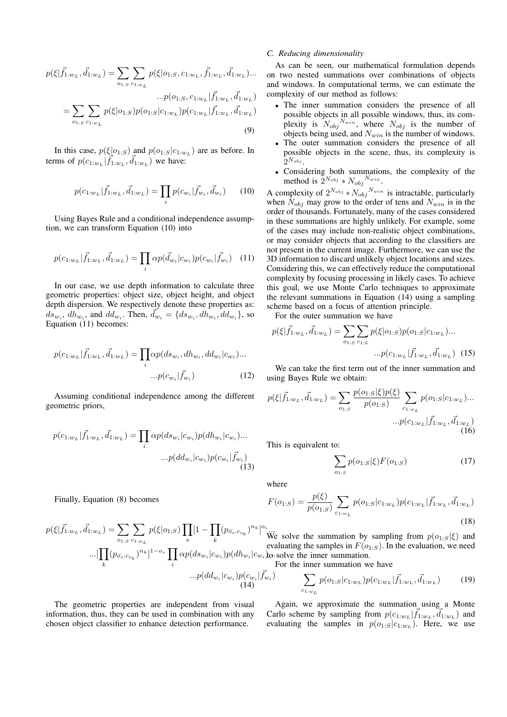$$
p(\xi|\vec{f}_{1:w_L}, \vec{d}_{1:w_L}) = \sum_{o_{1:S}} \sum_{c_{1:w_L}} p(\xi|o_{1:S}, c_{1:w_L}, \vec{f}_{1:w_L}, \vec{d}_{1:w_L}) \dots
$$

$$
\dots p(o_{1:S}, c_{1:w_L}|\vec{f}_{1:w_L}, \vec{d}_{1:w_L})
$$

$$
= \sum_{o_{1:S}} \sum_{c_{1:w_L}} p(\xi|o_{1:S}) p(o_{1:S}|c_{1:w_L}) p(c_{1:w_L}|\vec{f}_{1:w_L}, \vec{d}_{1:w_L})
$$
(9)

In this case,  $p(\xi|o_{1:S})$  and  $p(o_{1:S}|c_{1:w_L})$  are as before. In terms of  $p(c_{1:w_L}|\vec{f}_{1:w_L}, \vec{d}_{1:w_L})$  we have:

$$
p(c_{1:w_L}|\vec{f}_{1:w_L}, \vec{d}_{1:w_L}) = \prod_i p(c_{w_i}|\vec{f}_{w_i}, \vec{d}_{w_i}) \qquad (10)
$$

Using Bayes Rule and a conditional independence assumption, we can transform Equation (10) into

$$
p(c_{1:w_L}|\vec{f}_{1:w_L},\vec{d}_{1:w_L}) = \prod_i \alpha p(\vec{d}_{w_i}|c_{w_i}) p(c_{w_i}|\vec{f}_{w_i}) \quad (11)
$$

In our case, we use depth information to calculate three geometric properties: object size, object height, and object depth dispersion. We respectively denote these properties as:  $ds_{w_i}$ ,  $dh_{w_i}$ , and  $dd_{w_i}$ . Then,  $\vec{d}_{w_i} = \{ds_{w_i}, dh_{w_i}, dd_{w_i}\}$ , so Equation (11) becomes:

$$
p(c_{1:w_L}|\vec{f}_{1:w_L},\vec{d}_{1:w_L}) = \prod_i \alpha p(ds_{w_i}, dh_{w_i}, dd_{w_i}|c_{w_i})...
$$

$$
...p(c_{w_i}|\vec{f}_{w_i})
$$
(12)

Assuming conditional independence among the different geometric priors,

$$
p(c_{1:w_L}|\vec{f}_{1:w_L}, \vec{d}_{1:w_L}) = \prod_i \alpha p(ds_{w_i}|c_{w_i}) p(dh_{w_i}|c_{w_i})...
$$

$$
...p(dd_{w_i}|c_{w_i}) p(c_{w_i}|\vec{f}_{w_i})
$$
(13)

Finally, Equation (8) becomes

$$
p(\xi|\vec{f}_{1:w_L}, \vec{d}_{1:w_L}) = \sum_{o_{1:S}} \sum_{c_{1:w_L}} p(\xi|o_{1:S}) \prod_s [1 - \prod_k (p_{\sigma_s, c_{o_k}})^{n_k}]^{o_s} \text{We have}
$$
  
...
$$
\left[ \prod_k (p_{\sigma_s, c_{o_k}})^{n_k} \right]^{1 - o_s} \prod_i \alpha p(ds_{w_i}|c_{w_i}) p(dh_{w_i}|c_{w_i}) \text{for}
$$
  
...
$$
p(dd_{w_i}|c_{w_i}) p(c_{w_i}|\vec{f}_{w_i})
$$
  
(14)

The geometric properties are independent from visual information, thus, they can be used in combination with any chosen object classifier to enhance detection performance.

## *C. Reducing dimensionality*

As can be seen, our mathematical formulation depends on two nested summations over combinations of objects and windows. In computational terms, we can estimate the complexity of our method as follows:

- The inner summation considers the presence of all possible objects in all possible windows, thus, its complexity is  $N_{obj}^{N_{win}}$ , where  $N_{obj}$  is the number of objects being used, and  $N_{win}$  is the number of windows.
- The outer summation considers the presence of all possible objects in the scene, thus, its complexity is  $2^{N_{obj}}$  .
- Considering both summations, the complexity of the method is  $2^{N_{obj}} * N_{obj}^{N_{win}}$ .

A complexity of  $2^{N_{obj}} * N_{obj}^{N_{win}}$  is intractable, particularly when  $N_{obj}$  may grow to the order of tens and  $N_{win}$  is in the order of thousands. Fortunately, many of the cases considered in these summations are highly unlikely. For example, some of the cases may include non-realistic object combinations, or may consider objects that according to the classifiers are not present in the current image. Furthermore, we can use the 3D information to discard unlikely object locations and sizes. Considering this, we can effectively reduce the computational complexity by focusing processing in likely cases. To achieve this goal, we use Monte Carlo techniques to approximate the relevant summations in Equation (14) using a sampling scheme based on a focus of attention principle.

For the outer summation we have

$$
p(\xi|\vec{f}_{1:w_L}, \vec{d}_{1:w_L}) = \sum_{o_{1:S}} \sum_{c_{1:L}} p(\xi|o_{1:S}) p(o_{1:S}|c_{1:w_L}) \dots
$$

$$
\dots p(c_{1:w_L}|\vec{f}_{1:w_L}, \vec{d}_{1:w_L}) \quad (15)
$$

We can take the first term out of the inner summation and using Bayes Rule we obtain:

$$
p(\xi|\vec{f}_{1:w_L},\vec{d}_{1:w_L}) = \sum_{o_{1:S}} \frac{p(o_{1:S}|\xi)p(\xi)}{p(o_{1:S})} \sum_{c_{1:w_L}} p(o_{1:S}|c_{1:w_L})... + p(c_{1:w_L}|\vec{f}_{1:w_L},\vec{d}_{1:w_L})
$$
\n(16)

This is equivalent to:

$$
\sum_{o_{1:S}} p(o_{1:S}|\xi) F(o_{1:S}) \tag{17}
$$

where

$$
F(o_{1:S}) = \frac{p(\xi)}{p(o_{1:S})} \sum_{c_{1:w_L}} p(o_{1:S}|c_{1:w_L}) p(c_{1:w_L}|\vec{f}_{1:w_L}, \vec{d}_{1:w_L})
$$
\n(18)

we solve the summation by sampling from  $p(o_{1:S}|\xi)$  and to solve the inner summation. evaluating the samples in  $F(o_{1:S})$ . In the evaluation, we need

For the inner summation we have

$$
\sum_{c_1, w_L} p(o_{1:S}|c_1, w_L) p(c_1, w_L | \vec{f}_1, w_L, \vec{d}_1, w_L)
$$
 (19)

Again, we approximate the summation using a Monte Carlo scheme by sampling from  $p(c_{1:w_L} | \vec{f}_{1:w_L}, \vec{d}_{1:w_L})$  and evaluating the samples in  $p(o_{1:S}|c_{1:w_L})$ . Here, we use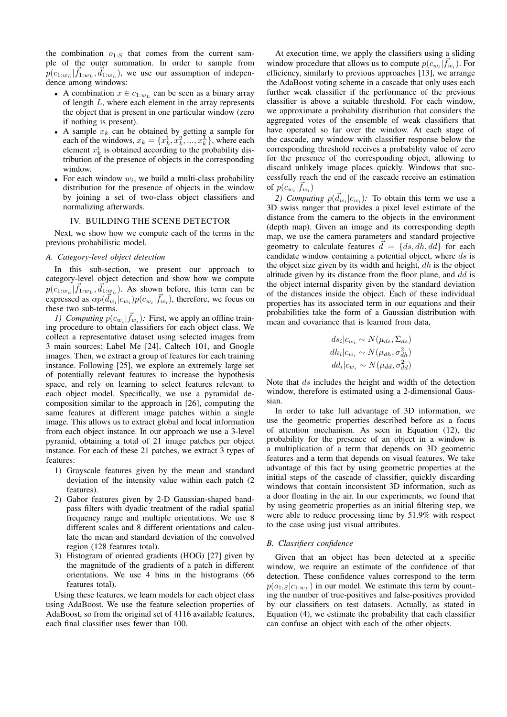the combination  $o_{1:S}$  that comes from the current sample of the outer summation. In order to sample from  $p(c_{1:w_L}|\vec{f}_{1:w_L}, \vec{d}_{1:w_L})$ , we use our assumption of independence among windows:

- A combination  $x \in c_{1:w}$  can be seen as a binary array of length L, where each element in the array represents the object that is present in one particular window (zero if nothing is present).
- A sample  $x_k$  can be obtained by getting a sample for each of the windows,  $x_k = \{x_k^1, x_k^2, ..., x_k^L\}$ , where each element  $x_k^i$  is obtained according to the probability distribution of the presence of objects in the corresponding window.
- For each window  $w_i$ , we build a multi-class probability distribution for the presence of objects in the window by joining a set of two-class object classifiers and normalizing afterwards.

## IV. BUILDING THE SCENE DETECTOR

Next, we show how we compute each of the terms in the previous probabilistic model.

#### *A. Category-level object detection*

In this sub-section, we present our approach to category-level object detection and show how we compute  $p(c_{1:w_L}|\vec{f}_{1:w_L}, \vec{d}_{1:w_L})$ . As shown before, this term can be expressed as  $\alpha p(\vec{d}_{w_i}|c_{w_i})p(c_{w_i}|\vec{f}_{w_i})$ , therefore, we focus on these two sub-terms.

*1) Computing*  $p(c_{w_i} | \vec{f}_{w_i})$ : First, we apply an offline training procedure to obtain classifiers for each object class. We collect a representative dataset using selected images from 3 main sources: Label Me [24], Caltech 101, and Google images. Then, we extract a group of features for each training instance. Following [25], we explore an extremely large set of potentially relevant features to increase the hypothesis space, and rely on learning to select features relevant to each object model. Specifically, we use a pyramidal decomposition similar to the approach in [26], computing the same features at different image patches within a single image. This allows us to extract global and local information from each object instance. In our approach we use a 3-level pyramid, obtaining a total of 21 image patches per object instance. For each of these 21 patches, we extract 3 types of features:

- 1) Grayscale features given by the mean and standard deviation of the intensity value within each patch (2 features).
- 2) Gabor features given by 2-D Gaussian-shaped bandpass filters with dyadic treatment of the radial spatial frequency range and multiple orientations. We use 8 different scales and 8 different orientations and calculate the mean and standard deviation of the convolved region (128 features total).
- 3) Histogram of oriented gradients (HOG) [27] given by the magnitude of the gradients of a patch in different orientations. We use 4 bins in the histograms (66 features total).

Using these features, we learn models for each object class using AdaBoost. We use the feature selection properties of AdaBoost, so from the original set of 4116 available features, each final classifier uses fewer than 100.

At execution time, we apply the classifiers using a sliding window procedure that allows us to compute  $p(c_{w_i} | \vec{f}_{w_i})$ . For efficiency, similarly to previous approaches [13], we arrange the AdaBoost voting scheme in a cascade that only uses each further weak classifier if the performance of the previous classifier is above a suitable threshold. For each window, we approximate a probability distribution that considers the aggregated votes of the ensemble of weak classifiers that have operated so far over the window. At each stage of the cascade, any window with classifier response below the corresponding threshold receives a probability value of zero for the presence of the corresponding object, allowing to discard unlikely image places quickly. Windows that successfully reach the end of the cascade receive an estimation of  $p(c_{w_i} | \vec{f}_{w_i})$ 

2) Computing  $p(\vec{d}_{w_i}|c_{w_i})$ : To obtain this term we use a 3D swiss ranger that provides a pixel level estimate of the distance from the camera to the objects in the environment (depth map). Given an image and its corresponding depth map, we use the camera parameters and standard projective geometry to calculate features  $\vec{d} = \{ds, dh, dd\}$  for each candidate window containing a potential object, where ds is the object size given by its width and height,  $dh$  is the object altitude given by its distance from the floor plane, and  $dd$  is the object internal disparity given by the standard deviation of the distances inside the object. Each of these individual properties has its associated term in our equations and their probabilities take the form of a Gaussian distribution with mean and covariance that is learned from data,

$$
ds_i|c_{w_i} \sim N(\mu_{ds}, \Sigma_{ds})
$$
  
\n
$$
dh_i|c_{w_i} \sim N(\mu_{dh}, \sigma_{dh}^2)
$$
  
\n
$$
dd_i|c_{w_i} \sim N(\mu_{dd}, \sigma_{dd}^2)
$$

Note that ds includes the height and width of the detection window, therefore is estimated using a 2-dimensional Gaussian.

In order to take full advantage of 3D information, we use the geometric properties described before as a focus of attention mechanism. As seen in Equation (12), the probability for the presence of an object in a window is a multiplication of a term that depends on 3D geometric features and a term that depends on visual features. We take advantage of this fact by using geometric properties at the initial steps of the cascade of classifier, quickly discarding windows that contain inconsistent 3D information, such as a door floating in the air. In our experiments, we found that by using geometric properties as an initial filtering step, we were able to reduce processing time by 51.9% with respect to the case using just visual attributes.

## *B. Classifiers confidence*

Given that an object has been detected at a specific window, we require an estimate of the confidence of that detection. These confidence values correspond to the term  $p(o_{1:S}|c_{1:w_L})$  in our model. We estimate this term by counting the number of true-positives and false-positives provided by our classifiers on test datasets. Actually, as stated in Equation (4), we estimate the probability that each classifier can confuse an object with each of the other objects.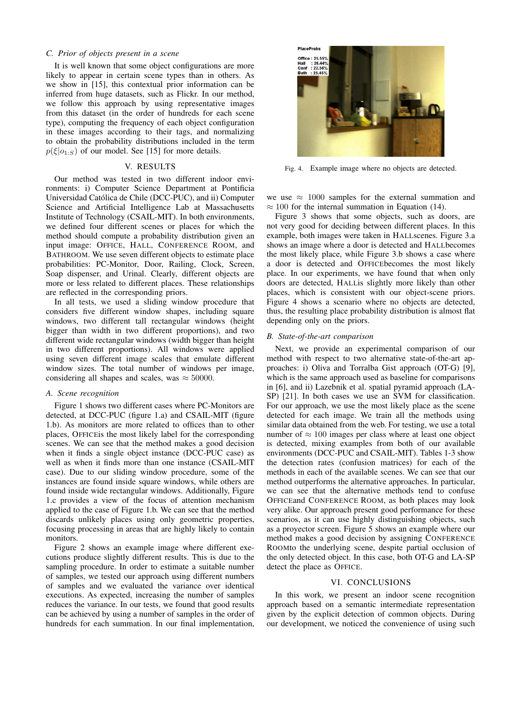## *C. Prior of objects present in a scene*

It is well known that some object configurations are more likely to appear in certain scene types than in others. As we show in [15], this contextual prior information can be inferred from huge datasets, such as Flickr. In our method, we follow this approach by using representative images from this dataset (in the order of hundreds for each scene type), computing the frequency of each object configuration in these images according to their tags, and normalizing to obtain the probability distributions included in the term  $p(\xi|o_{1:S})$  of our model. See [15] for more details.

# V. RESULTS

Our method was tested in two different indoor environments: i) Computer Science Department at Pontificia Universidad Catolica de Chile (DCC-PUC), and ii) Computer ´ Science and Artificial Intelligence Lab at Massachusetts Institute of Technology (CSAIL-MIT). In both environments, we defined four different scenes or places for which the method should compute a probability distribution given an input image: OFFICE, HALL, CONFERENCE ROOM, and BATHROOM. We use seven different objects to estimate place probabilities: PC-Monitor, Door, Railing, Clock, Screen, Soap dispenser, and Urinal. Clearly, different objects are more or less related to different places. These relationships are reflected in the corresponding priors.

In all tests, we used a sliding window procedure that considers five different window shapes, including square windows, two different tall rectangular windows (height bigger than width in two different proportions), and two different wide rectangular windows (width bigger than height in two different proportions). All windows were applied using seven different image scales that emulate different window sizes. The total number of windows per image, considering all shapes and scales, was  $\approx 50000$ .

#### *A. Scene recognition*

Figure 1 shows two different cases where PC-Monitors are detected, at DCC-PUC (figure 1.a) and CSAIL-MIT (figure 1.b). As monitors are more related to offices than to other places, OFFICEis the most likely label for the corresponding scenes. We can see that the method makes a good decision when it finds a single object instance (DCC-PUC case) as well as when it finds more than one instance (CSAIL-MIT case). Due to our sliding window procedure, some of the instances are found inside square windows, while others are found inside wide rectangular windows. Additionally, Figure 1.c provides a view of the focus of attention mechanism applied to the case of Figure 1.b. We can see that the method discards unlikely places using only geometric properties, focusing processing in areas that are highly likely to contain monitors.

Figure 2 shows an example image where different executions produce slightly different results. This is due to the sampling procedure. In order to estimate a suitable number of samples, we tested our approach using different numbers of samples and we evaluated the variance over identical executions. As expected, increasing the number of samples reduces the variance. In our tests, we found that good results can be achieved by using a number of samples in the order of hundreds for each summation. In our final implementation,



Fig. 4. Example image where no objects are detected.

we use  $\approx 1000$  samples for the external summation and  $\approx 100$  for the internal summation in Equation (14).

Figure 3 shows that some objects, such as doors, are not very good for deciding between different places. In this example, both images were taken in HALLscenes. Figure 3.a shows an image where a door is detected and HALLbecomes the most likely place, while Figure 3.b shows a case where a door is detected and OFFICEbecomes the most likely place. In our experiments, we have found that when only doors are detected, HALLis slightly more likely than other places, which is consistent with our object-scene priors. Figure 4 shows a scenario where no objects are detected, thus, the resulting place probability distribution is almost flat depending only on the priors.

#### *B. State-of-the-art comparison*

Next, we provide an experimental comparison of our method with respect to two alternative state-of-the-art approaches: i) Oliva and Torralba Gist approach (OT-G) [9], which is the same approach used as baseline for comparisons in [6], and ii) Lazebnik et al. spatial pyramid approach (LA-SP) [21]. In both cases we use an SVM for classification. For our approach, we use the most likely place as the scene detected for each image. We train all the methods using similar data obtained from the web. For testing, we use a total number of  $\approx 100$  images per class where at least one object is detected, mixing examples from both of our available environments (DCC-PUC and CSAIL-MIT). Tables 1-3 show the detection rates (confusion matrices) for each of the methods in each of the available scenes. We can see that our method outperforms the alternative approaches. In particular, we can see that the alternative methods tend to confuse OFFICEand CONFERENCE ROOM, as both places may look very alike. Our approach present good performance for these scenarios, as it can use highly distinguishing objects, such as a proyector screen. Figure 5 shows an example where our method makes a good decision by assigning CONFERENCE ROOMto the underlying scene, despite partial occlusion of the only detected object. In this case, both OT-G and LA-SP detect the place as OFFICE.

#### VI. CONCLUSIONS

In this work, we present an indoor scene recognition approach based on a semantic intermediate representation given by the explicit detection of common objects. During our development, we noticed the convenience of using such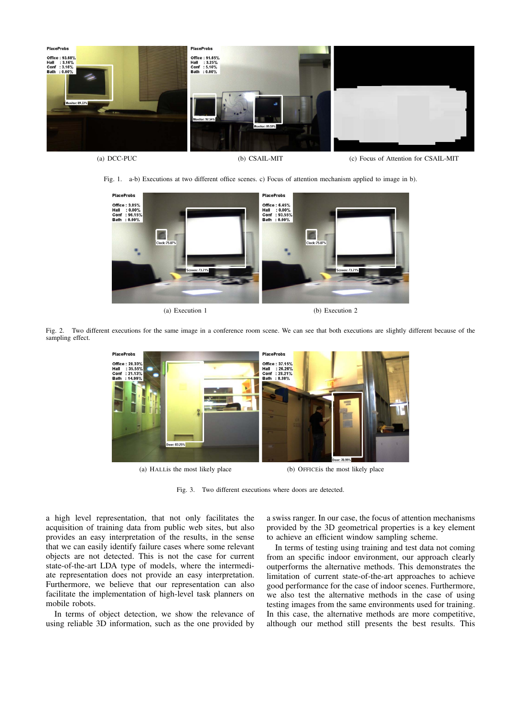

(a) DCC-PUC (b) CSAIL-MIT (c) Focus of Attention for CSAIL-MIT

Fig. 1. a-b) Executions at two different office scenes. c) Focus of attention mechanism applied to image in b).



Fig. 2. Two different executions for the same image in a conference room scene. We can see that both executions are slightly different because of the sampling effect.



(a) HALLis the most likely place (b) OFFICEis the most likely place

Fig. 3. Two different executions where doors are detected.

a high level representation, that not only facilitates the acquisition of training data from public web sites, but also provides an easy interpretation of the results, in the sense that we can easily identify failure cases where some relevant objects are not detected. This is not the case for current state-of-the-art LDA type of models, where the intermediate representation does not provide an easy interpretation. Furthermore, we believe that our representation can also facilitate the implementation of high-level task planners on mobile robots.

In terms of object detection, we show the relevance of using reliable 3D information, such as the one provided by a swiss ranger. In our case, the focus of attention mechanisms provided by the 3D geometrical properties is a key element to achieve an efficient window sampling scheme.

In terms of testing using training and test data not coming from an specific indoor environment, our approach clearly outperforms the alternative methods. This demonstrates the limitation of current state-of-the-art approaches to achieve good performance for the case of indoor scenes. Furthermore, we also test the alternative methods in the case of using testing images from the same environments used for training. In this case, the alternative methods are more competitive, although our method still presents the best results. This